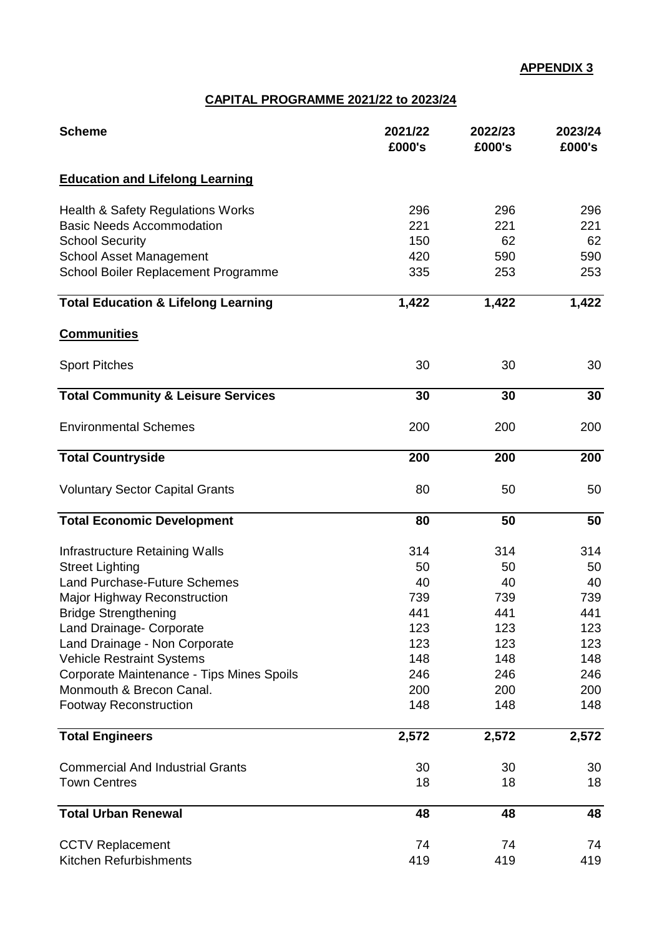## **CAPITAL PROGRAMME 2021/22 to 2023/24**

| <b>Scheme</b>                                             | 2021/22<br>£000's | 2022/23<br>£000's | 2023/24<br>£000's |
|-----------------------------------------------------------|-------------------|-------------------|-------------------|
| <b>Education and Lifelong Learning</b>                    |                   |                   |                   |
| <b>Health &amp; Safety Regulations Works</b>              | 296               | 296               | 296               |
| <b>Basic Needs Accommodation</b>                          | 221               | 221               | 221               |
| <b>School Security</b>                                    | 150               | 62                | 62                |
| <b>School Asset Management</b>                            | 420               | 590               | 590               |
| School Boiler Replacement Programme                       | 335               | 253               | 253               |
| <b>Total Education &amp; Lifelong Learning</b>            | 1,422             | 1,422             | 1,422             |
| <b>Communities</b>                                        |                   |                   |                   |
| <b>Sport Pitches</b>                                      | 30                | 30                | 30                |
| <b>Total Community &amp; Leisure Services</b>             | 30                | 30                | 30                |
| <b>Environmental Schemes</b>                              | 200               | 200               | 200               |
| <b>Total Countryside</b>                                  | 200               | 200               | 200               |
| <b>Voluntary Sector Capital Grants</b>                    | 80                | 50                | 50                |
| <b>Total Economic Development</b>                         | 80                | 50                | 50                |
| Infrastructure Retaining Walls                            | 314               | 314               | 314               |
| <b>Street Lighting</b>                                    | 50                | 50                | 50                |
| <b>Land Purchase-Future Schemes</b>                       | 40                | 40                | 40                |
| Major Highway Reconstruction                              | 739               | 739               | 739               |
| <b>Bridge Strengthening</b>                               | 441               | 441               | 441               |
| <b>Land Drainage- Corporate</b>                           | 123               | 123               | 123               |
| Land Drainage - Non Corporate                             | 123               | 123               | 123               |
| <b>Vehicle Restraint Systems</b>                          | 148               | 148               | 148               |
| Corporate Maintenance - Tips Mines Spoils                 | 246               | 246               | 246               |
| Monmouth & Brecon Canal.<br><b>Footway Reconstruction</b> | 200<br>148        | 200<br>148        | 200<br>148        |
|                                                           |                   |                   |                   |
| <b>Total Engineers</b>                                    | 2,572             | 2,572             | 2,572             |
| <b>Commercial And Industrial Grants</b>                   | 30                | 30                | 30                |
| <b>Town Centres</b>                                       | 18                | 18                | 18                |
| <b>Total Urban Renewal</b>                                | 48                | 48                | 48                |
| <b>CCTV Replacement</b>                                   | 74                | 74                | 74                |
| Kitchen Refurbishments                                    | 419               | 419               | 419               |